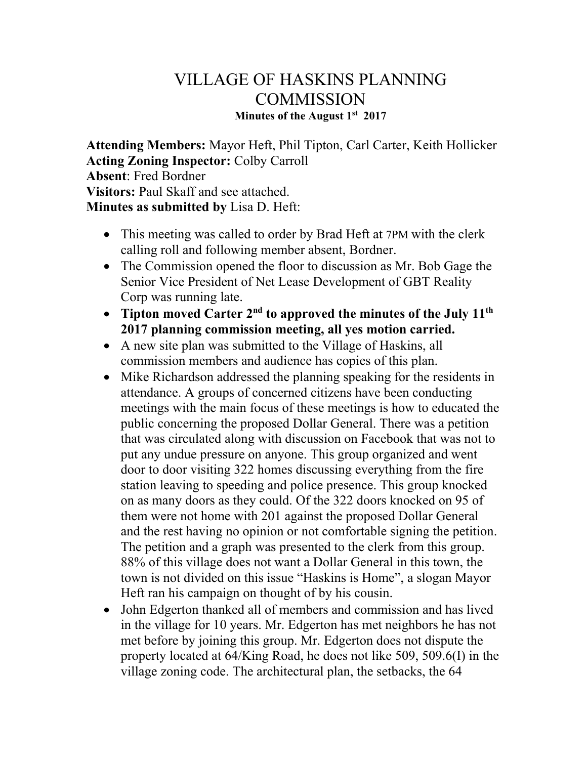## VILLAGE OF HASKINS PLANNING **COMMISSION Minutes of the August 1st 2017**

**Attending Members:** Mayor Heft, Phil Tipton, Carl Carter, Keith Hollicker **Acting Zoning Inspector:** Colby Carroll **Absent**: Fred Bordner **Visitors:** Paul Skaff and see attached. **Minutes as submitted by** Lisa D. Heft:

- This meeting was called to order by Brad Heft at 7PM with the clerk calling roll and following member absent, Bordner.
- The Commission opened the floor to discussion as Mr. Bob Gage the Senior Vice President of Net Lease Development of GBT Reality Corp was running late.
- **Tipton moved Carter 2nd to approved the minutes of the July 11th 2017 planning commission meeting, all yes motion carried.**
- A new site plan was submitted to the Village of Haskins, all commission members and audience has copies of this plan.
- Mike Richardson addressed the planning speaking for the residents in attendance. A groups of concerned citizens have been conducting meetings with the main focus of these meetings is how to educated the public concerning the proposed Dollar General. There was a petition that was circulated along with discussion on Facebook that was not to put any undue pressure on anyone. This group organized and went door to door visiting 322 homes discussing everything from the fire station leaving to speeding and police presence. This group knocked on as many doors as they could. Of the 322 doors knocked on 95 of them were not home with 201 against the proposed Dollar General and the rest having no opinion or not comfortable signing the petition. The petition and a graph was presented to the clerk from this group. 88% of this village does not want a Dollar General in this town, the town is not divided on this issue "Haskins is Home", a slogan Mayor Heft ran his campaign on thought of by his cousin.
- John Edgerton thanked all of members and commission and has lived in the village for 10 years. Mr. Edgerton has met neighbors he has not met before by joining this group. Mr. Edgerton does not dispute the property located at 64/King Road, he does not like 509, 509.6(I) in the village zoning code. The architectural plan, the setbacks, the 64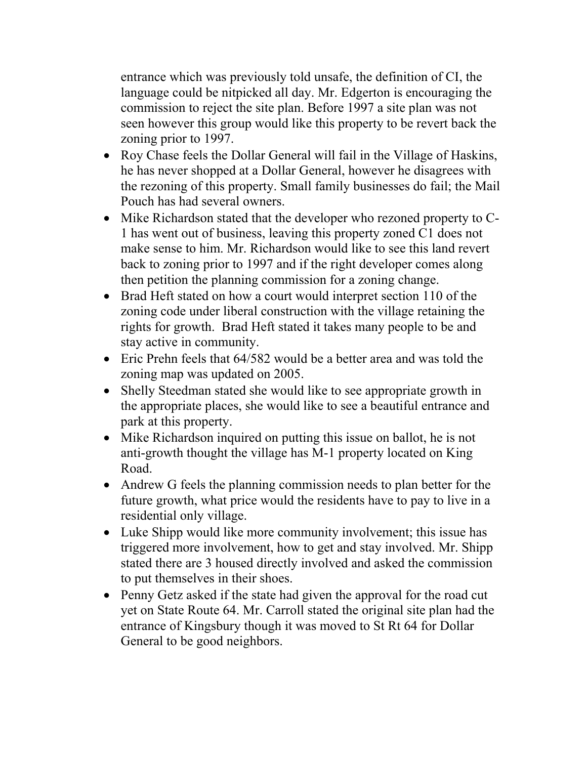entrance which was previously told unsafe, the definition of CI, the language could be nitpicked all day. Mr. Edgerton is encouraging the commission to reject the site plan. Before 1997 a site plan was not seen however this group would like this property to be revert back the zoning prior to 1997.

- Roy Chase feels the Dollar General will fail in the Village of Haskins, he has never shopped at a Dollar General, however he disagrees with the rezoning of this property. Small family businesses do fail; the Mail Pouch has had several owners.
- Mike Richardson stated that the developer who rezoned property to C-1 has went out of business, leaving this property zoned C1 does not make sense to him. Mr. Richardson would like to see this land revert back to zoning prior to 1997 and if the right developer comes along then petition the planning commission for a zoning change.
- Brad Heft stated on how a court would interpret section 110 of the zoning code under liberal construction with the village retaining the rights for growth. Brad Heft stated it takes many people to be and stay active in community.
- Eric Prehn feels that 64/582 would be a better area and was told the zoning map was updated on 2005.
- Shelly Steedman stated she would like to see appropriate growth in the appropriate places, she would like to see a beautiful entrance and park at this property.
- Mike Richardson inquired on putting this issue on ballot, he is not anti-growth thought the village has M-1 property located on King Road.
- Andrew G feels the planning commission needs to plan better for the future growth, what price would the residents have to pay to live in a residential only village.
- Luke Shipp would like more community involvement; this issue has triggered more involvement, how to get and stay involved. Mr. Shipp stated there are 3 housed directly involved and asked the commission to put themselves in their shoes.
- Penny Getz asked if the state had given the approval for the road cut yet on State Route 64. Mr. Carroll stated the original site plan had the entrance of Kingsbury though it was moved to St Rt 64 for Dollar General to be good neighbors.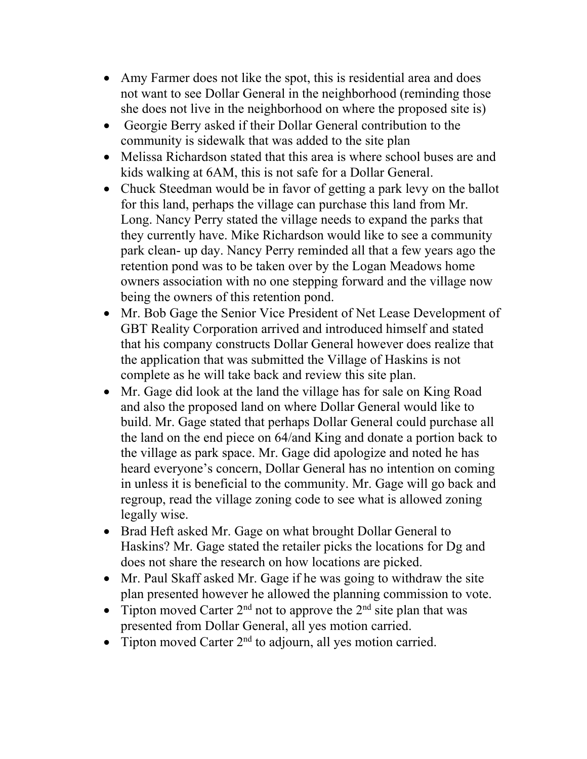- Amy Farmer does not like the spot, this is residential area and does not want to see Dollar General in the neighborhood (reminding those she does not live in the neighborhood on where the proposed site is)
- Georgie Berry asked if their Dollar General contribution to the community is sidewalk that was added to the site plan
- Melissa Richardson stated that this area is where school buses are and kids walking at 6AM, this is not safe for a Dollar General.
- Chuck Steedman would be in favor of getting a park levy on the ballot for this land, perhaps the village can purchase this land from Mr. Long. Nancy Perry stated the village needs to expand the parks that they currently have. Mike Richardson would like to see a community park clean- up day. Nancy Perry reminded all that a few years ago the retention pond was to be taken over by the Logan Meadows home owners association with no one stepping forward and the village now being the owners of this retention pond.
- Mr. Bob Gage the Senior Vice President of Net Lease Development of GBT Reality Corporation arrived and introduced himself and stated that his company constructs Dollar General however does realize that the application that was submitted the Village of Haskins is not complete as he will take back and review this site plan.
- Mr. Gage did look at the land the village has for sale on King Road and also the proposed land on where Dollar General would like to build. Mr. Gage stated that perhaps Dollar General could purchase all the land on the end piece on 64/and King and donate a portion back to the village as park space. Mr. Gage did apologize and noted he has heard everyone's concern, Dollar General has no intention on coming in unless it is beneficial to the community. Mr. Gage will go back and regroup, read the village zoning code to see what is allowed zoning legally wise.
- Brad Heft asked Mr. Gage on what brought Dollar General to Haskins? Mr. Gage stated the retailer picks the locations for Dg and does not share the research on how locations are picked.
- Mr. Paul Skaff asked Mr. Gage if he was going to withdraw the site plan presented however he allowed the planning commission to vote.
- Tipton moved Carter  $2<sup>nd</sup>$  not to approve the  $2<sup>nd</sup>$  site plan that was presented from Dollar General, all yes motion carried.
- Tipton moved Carter  $2<sup>nd</sup>$  to adjourn, all yes motion carried.